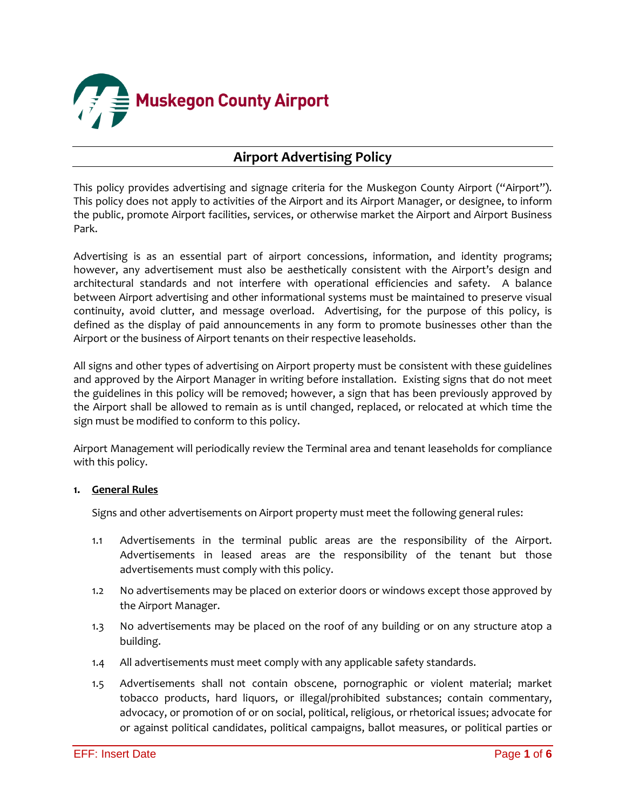

# **Airport Advertising Policy**

This policy provides advertising and signage criteria for the Muskegon County Airport ("Airport"). This policy does not apply to activities of the Airport and its Airport Manager, or designee, to inform the public, promote Airport facilities, services, or otherwise market the Airport and Airport Business Park.

Advertising is as an essential part of airport concessions, information, and identity programs; however, any advertisement must also be aesthetically consistent with the Airport's design and architectural standards and not interfere with operational efficiencies and safety. A balance between Airport advertising and other informational systems must be maintained to preserve visual continuity, avoid clutter, and message overload. Advertising, for the purpose of this policy, is defined as the display of paid announcements in any form to promote businesses other than the Airport or the business of Airport tenants on their respective leaseholds.

All signs and other types of advertising on Airport property must be consistent with these guidelines and approved by the Airport Manager in writing before installation. Existing signs that do not meet the guidelines in this policy will be removed; however, a sign that has been previously approved by the Airport shall be allowed to remain as is until changed, replaced, or relocated at which time the sign must be modified to conform to this policy.

Airport Management will periodically review the Terminal area and tenant leaseholds for compliance with this policy.

#### **1. General Rules**

Signs and other advertisements on Airport property must meet the following general rules:

- 1.1 Advertisements in the terminal public areas are the responsibility of the Airport. Advertisements in leased areas are the responsibility of the tenant but those advertisements must comply with this policy.
- 1.2 No advertisements may be placed on exterior doors or windows except those approved by the Airport Manager.
- 1.3 No advertisements may be placed on the roof of any building or on any structure atop a building.
- 1.4 All advertisements must meet comply with any applicable safety standards.
- 1.5 Advertisements shall not contain obscene, pornographic or violent material; market tobacco products, hard liquors, or illegal/prohibited substances; contain commentary, advocacy, or promotion of or on social, political, religious, or rhetorical issues; advocate for or against political candidates, political campaigns, ballot measures, or political parties or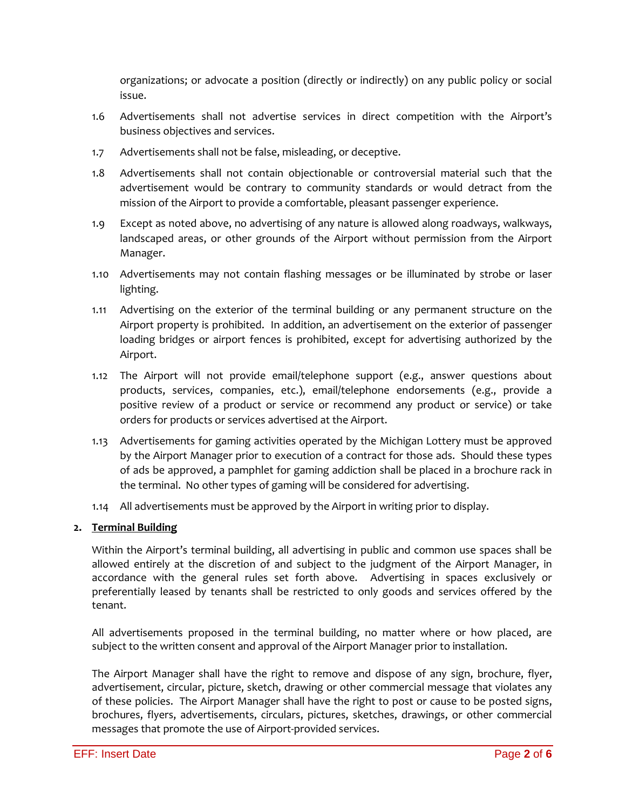organizations; or advocate a position (directly or indirectly) on any public policy or social issue.

- 1.6 Advertisements shall not advertise services in direct competition with the Airport's business objectives and services.
- 1.7 Advertisements shall not be false, misleading, or deceptive.
- 1.8 Advertisements shall not contain objectionable or controversial material such that the advertisement would be contrary to community standards or would detract from the mission of the Airport to provide a comfortable, pleasant passenger experience.
- 1.9 Except as noted above, no advertising of any nature is allowed along roadways, walkways, landscaped areas, or other grounds of the Airport without permission from the Airport Manager.
- 1.10 Advertisements may not contain flashing messages or be illuminated by strobe or laser lighting.
- 1.11 Advertising on the exterior of the terminal building or any permanent structure on the Airport property is prohibited. In addition, an advertisement on the exterior of passenger loading bridges or airport fences is prohibited, except for advertising authorized by the Airport.
- 1.12 The Airport will not provide email/telephone support (e.g., answer questions about products, services, companies, etc.), email/telephone endorsements (e.g., provide a positive review of a product or service or recommend any product or service) or take orders for products or services advertised at the Airport.
- 1.13 Advertisements for gaming activities operated by the Michigan Lottery must be approved by the Airport Manager prior to execution of a contract for those ads. Should these types of ads be approved, a pamphlet for gaming addiction shall be placed in a brochure rack in the terminal. No other types of gaming will be considered for advertising.
- 1.14 All advertisements must be approved by the Airport in writing prior to display.

## **2. Terminal Building**

Within the Airport's terminal building, all advertising in public and common use spaces shall be allowed entirely at the discretion of and subject to the judgment of the Airport Manager, in accordance with the general rules set forth above. Advertising in spaces exclusively or preferentially leased by tenants shall be restricted to only goods and services offered by the tenant.

All advertisements proposed in the terminal building, no matter where or how placed, are subject to the written consent and approval of the Airport Manager prior to installation.

The Airport Manager shall have the right to remove and dispose of any sign, brochure, flyer, advertisement, circular, picture, sketch, drawing or other commercial message that violates any of these policies. The Airport Manager shall have the right to post or cause to be posted signs, brochures, flyers, advertisements, circulars, pictures, sketches, drawings, or other commercial messages that promote the use of Airport-provided services.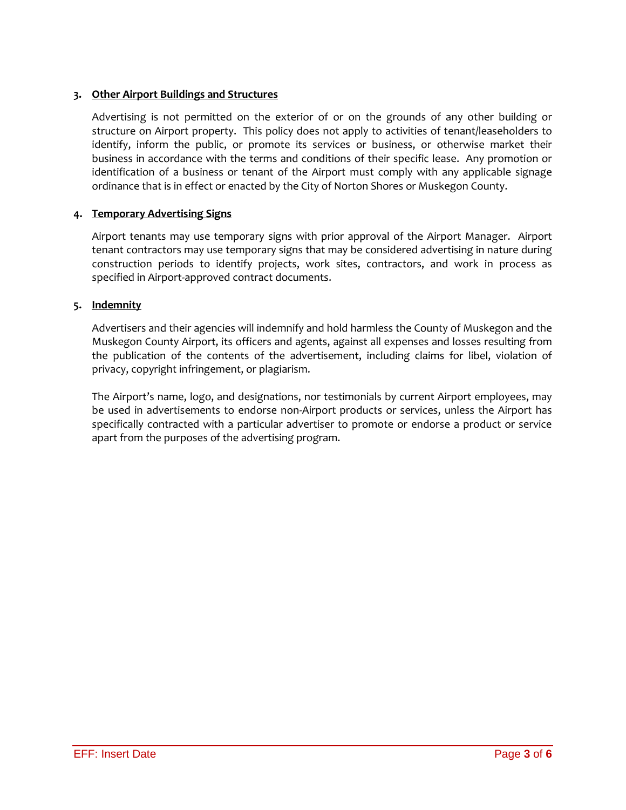## **3. Other Airport Buildings and Structures**

Advertising is not permitted on the exterior of or on the grounds of any other building or structure on Airport property. This policy does not apply to activities of tenant/leaseholders to identify, inform the public, or promote its services or business, or otherwise market their business in accordance with the terms and conditions of their specific lease. Any promotion or identification of a business or tenant of the Airport must comply with any applicable signage ordinance that is in effect or enacted by the City of Norton Shores or Muskegon County.

## **4. Temporary Advertising Signs**

Airport tenants may use temporary signs with prior approval of the Airport Manager. Airport tenant contractors may use temporary signs that may be considered advertising in nature during construction periods to identify projects, work sites, contractors, and work in process as specified in Airport-approved contract documents.

## **5. Indemnity**

Advertisers and their agencies will indemnify and hold harmless the County of Muskegon and the Muskegon County Airport, its officers and agents, against all expenses and losses resulting from the publication of the contents of the advertisement, including claims for libel, violation of privacy, copyright infringement, or plagiarism.

The Airport's name, logo, and designations, nor testimonials by current Airport employees, may be used in advertisements to endorse non-Airport products or services, unless the Airport has specifically contracted with a particular advertiser to promote or endorse a product or service apart from the purposes of the advertising program.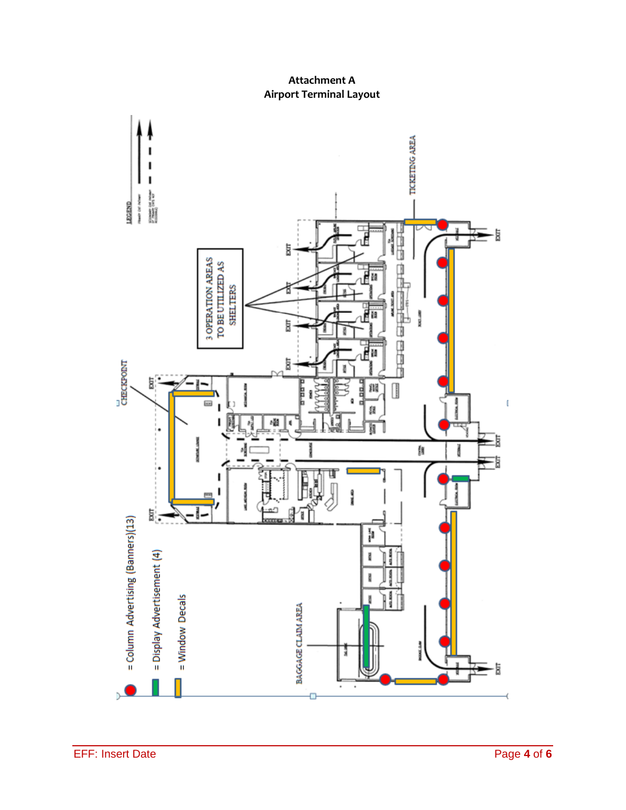**Attachment A Airport Terminal Layout**

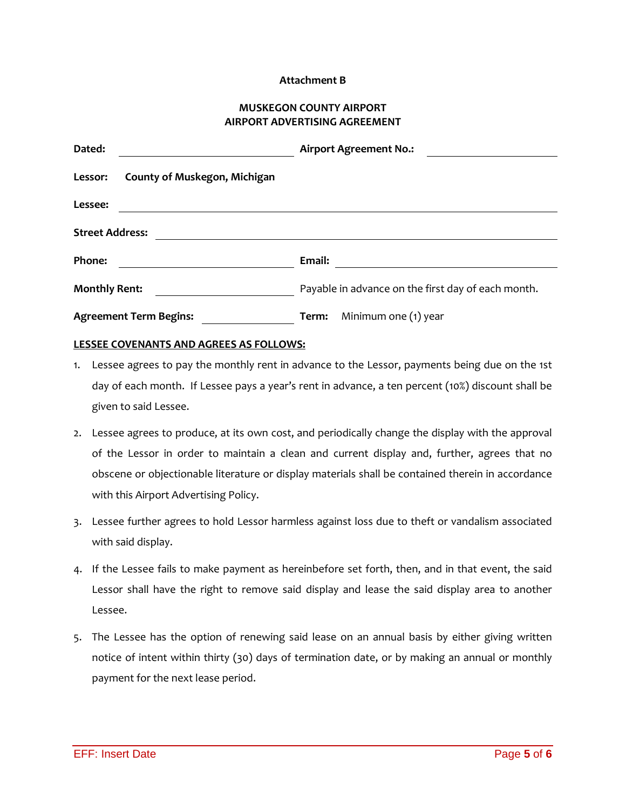#### **Attachment B**

#### **MUSKEGON COUNTY AIRPORT AIRPORT ADVERTISING AGREEMENT**

| Dated:                                         | <b>Airport Agreement No.:</b>                      |
|------------------------------------------------|----------------------------------------------------|
| <b>County of Muskegon, Michigan</b><br>Lessor: |                                                    |
| Lessee:                                        |                                                    |
| <b>Street Address:</b>                         |                                                    |
| Phone:                                         | Email:                                             |
| <b>Monthly Rent:</b>                           | Payable in advance on the first day of each month. |
| <b>Agreement Term Begins:</b>                  | Minimum one (1) year<br>Term:                      |

#### **LESSEE COVENANTS AND AGREES AS FOLLOWS:**

- 1. Lessee agrees to pay the monthly rent in advance to the Lessor, payments being due on the 1st day of each month. If Lessee pays a year's rent in advance, a ten percent (10%) discount shall be given to said Lessee.
- 2. Lessee agrees to produce, at its own cost, and periodically change the display with the approval of the Lessor in order to maintain a clean and current display and, further, agrees that no obscene or objectionable literature or display materials shall be contained therein in accordance with this Airport Advertising Policy.
- 3. Lessee further agrees to hold Lessor harmless against loss due to theft or vandalism associated with said display.
- 4. If the Lessee fails to make payment as hereinbefore set forth, then, and in that event, the said Lessor shall have the right to remove said display and lease the said display area to another Lessee.
- 5. The Lessee has the option of renewing said lease on an annual basis by either giving written notice of intent within thirty (30) days of termination date, or by making an annual or monthly payment for the next lease period.